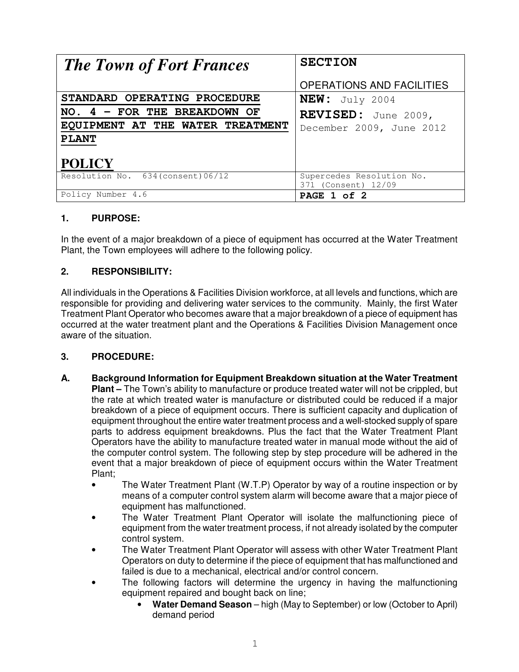| <b>The Town of Fort Frances</b>    | <b>SECTION</b>                                   |
|------------------------------------|--------------------------------------------------|
|                                    | <b>OPERATIONS AND FACILITIES</b>                 |
| STANDARD OPERATING PROCEDURE       | $NEW:$ July 2004                                 |
| NO. $4$ - FOR THE BREAKDOWN OF     | REVISED: June 2009,                              |
| EQUIPMENT AT THE WATER TREATMENT   | December 2009, June 2012                         |
| <b>PLANT</b>                       |                                                  |
| <b>POLICY</b>                      |                                                  |
| Resolution No. 634 (consent) 06/12 | Supercedes Resolution No.<br>371 (Consent) 12/09 |
| Policy Number 4.6                  | PAGE 1 of 2                                      |

## **1. PURPOSE:**

In the event of a major breakdown of a piece of equipment has occurred at the Water Treatment Plant, the Town employees will adhere to the following policy.

## **2. RESPONSIBILITY:**

All individuals in the Operations & Facilities Division workforce, at all levels and functions, which are responsible for providing and delivering water services to the community. Mainly, the first Water Treatment Plant Operator who becomes aware that a major breakdown of a piece of equipment has occurred at the water treatment plant and the Operations & Facilities Division Management once aware of the situation.

## **3. PROCEDURE:**

- **A. Background Information for Equipment Breakdown situation at the Water Treatment Plant –** The Town's ability to manufacture or produce treated water will not be crippled, but the rate at which treated water is manufacture or distributed could be reduced if a major breakdown of a piece of equipment occurs. There is sufficient capacity and duplication of equipment throughout the entire water treatment process and a well-stocked supply of spare parts to address equipment breakdowns. Plus the fact that the Water Treatment Plant Operators have the ability to manufacture treated water in manual mode without the aid of the computer control system. The following step by step procedure will be adhered in the event that a major breakdown of piece of equipment occurs within the Water Treatment Plant;
	- The Water Treatment Plant (W.T.P) Operator by way of a routine inspection or by means of a computer control system alarm will become aware that a major piece of equipment has malfunctioned.
	- The Water Treatment Plant Operator will isolate the malfunctioning piece of equipment from the water treatment process, if not already isolated by the computer control system.
	- The Water Treatment Plant Operator will assess with other Water Treatment Plant Operators on duty to determine if the piece of equipment that has malfunctioned and failed is due to a mechanical, electrical and/or control concern.
	- The following factors will determine the urgency in having the malfunctioning equipment repaired and bought back on line;
		- **Water Demand Season** high (May to September) or low (October to April) demand period